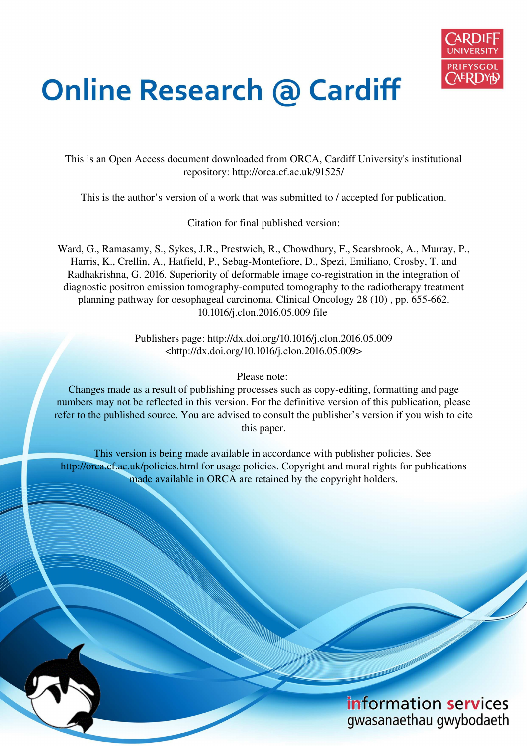

# **Online Research @ Cardiff**

This is an Open Access document downloaded from ORCA, Cardiff University's institutional repository: http://orca.cf.ac.uk/91525/

This is the author's version of a work that was submitted to / accepted for publication.

Citation for final published version:

Ward, G., Ramasamy, S., Sykes, J.R., Prestwich, R., Chowdhury, F., Scarsbrook, A., Murray, P., Harris, K., Crellin, A., Hatfield, P., Sebag-Montefiore, D., Spezi, Emiliano, Crosby, T. and Radhakrishna, G. 2016. Superiority of deformable image co-registration in the integration of diagnostic positron emission tomography-computed tomography to the radiotherapy treatment planning pathway for oesophageal carcinoma. Clinical Oncology 28 (10) , pp. 655-662. 10.1016/j.clon.2016.05.009 file

> Publishers page: http://dx.doi.org/10.1016/j.clon.2016.05.009 <http://dx.doi.org/10.1016/j.clon.2016.05.009>

> > Please note:

Changes made as a result of publishing processes such as copy-editing, formatting and page numbers may not be reflected in this version. For the definitive version of this publication, please refer to the published source. You are advised to consult the publisher's version if you wish to cite this paper.

This version is being made available in accordance with publisher policies. See http://orca.cf.ac.uk/policies.html for usage policies. Copyright and moral rights for publications made available in ORCA are retained by the copyright holders.



information services gwasanaethau gwybodaeth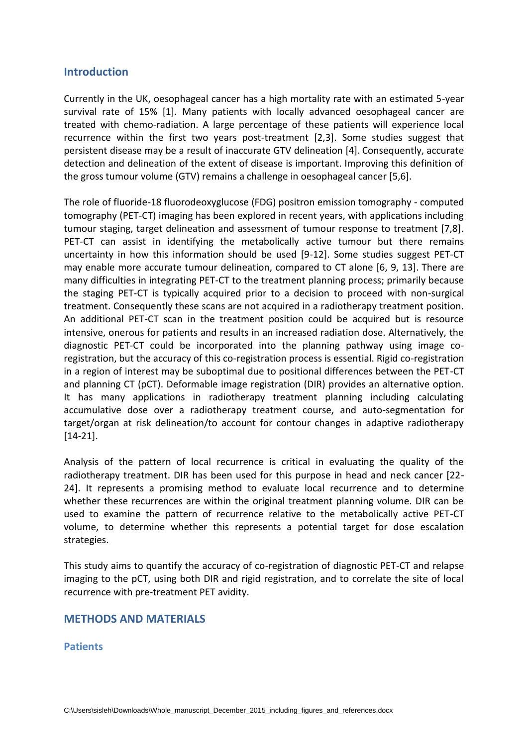# **Introduction**

Currently in the UK, oesophageal cancer has a high mortality rate with an estimated 5-year survival rate of 15% [1]. Many patients with locally advanced oesophageal cancer are treated with chemo-radiation. A large percentage of these patients will experience local recurrence within the first two years post-treatment [2,3]. Some studies suggest that persistent disease may be a result of inaccurate GTV delineation [4]. Consequently, accurate detection and delineation of the extent of disease is important. Improving this definition of the gross tumour volume (GTV) remains a challenge in oesophageal cancer [5,6].

The role of fluoride-18 fluorodeoxyglucose (FDG) positron emission tomography - computed tomography (PET-CT) imaging has been explored in recent years, with applications including tumour staging, target delineation and assessment of tumour response to treatment [7,8]. PET-CT can assist in identifying the metabolically active tumour but there remains uncertainty in how this information should be used [9-12]. Some studies suggest PET-CT may enable more accurate tumour delineation, compared to CT alone [6, 9, 13]. There are many difficulties in integrating PET-CT to the treatment planning process; primarily because the staging PET-CT is typically acquired prior to a decision to proceed with non-surgical treatment. Consequently these scans are not acquired in a radiotherapy treatment position. An additional PET-CT scan in the treatment position could be acquired but is resource intensive, onerous for patients and results in an increased radiation dose. Alternatively, the diagnostic PET-CT could be incorporated into the planning pathway using image coregistration, but the accuracy of this co-registration process is essential. Rigid co-registration in a region of interest may be suboptimal due to positional differences between the PET-CT and planning CT (pCT). Deformable image registration (DIR) provides an alternative option. It has many applications in radiotherapy treatment planning including calculating accumulative dose over a radiotherapy treatment course, and auto-segmentation for target/organ at risk delineation/to account for contour changes in adaptive radiotherapy [14-21].

Analysis of the pattern of local recurrence is critical in evaluating the quality of the radiotherapy treatment. DIR has been used for this purpose in head and neck cancer [22- 24]. It represents a promising method to evaluate local recurrence and to determine whether these recurrences are within the original treatment planning volume. DIR can be used to examine the pattern of recurrence relative to the metabolically active PET-CT volume, to determine whether this represents a potential target for dose escalation strategies.

This study aims to quantify the accuracy of co-registration of diagnostic PET-CT and relapse imaging to the pCT, using both DIR and rigid registration, and to correlate the site of local recurrence with pre-treatment PET avidity.

## **METHODS AND MATERIALS**

## **Patients**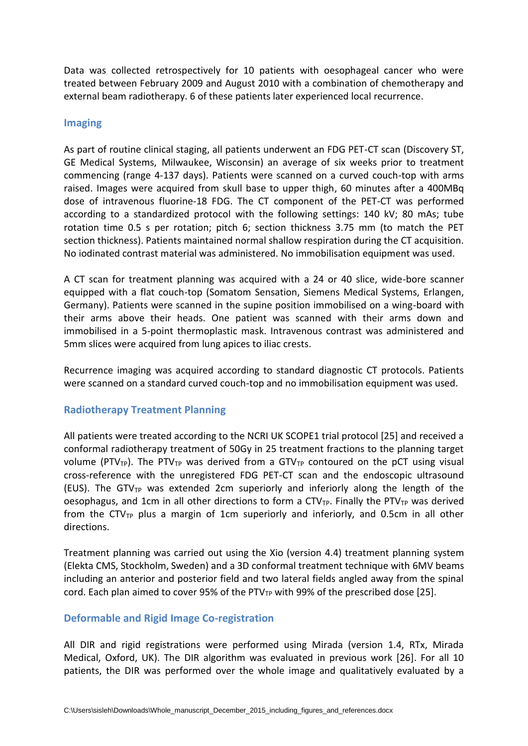Data was collected retrospectively for 10 patients with oesophageal cancer who were treated between February 2009 and August 2010 with a combination of chemotherapy and external beam radiotherapy. 6 of these patients later experienced local recurrence.

## **Imaging**

As part of routine clinical staging, all patients underwent an FDG PET-CT scan (Discovery ST, GE Medical Systems, Milwaukee, Wisconsin) an average of six weeks prior to treatment commencing (range 4-137 days). Patients were scanned on a curved couch-top with arms raised. Images were acquired from skull base to upper thigh, 60 minutes after a 400MBq dose of intravenous fluorine-18 FDG. The CT component of the PET-CT was performed according to a standardized protocol with the following settings: 140 kV; 80 mAs; tube rotation time 0.5 s per rotation; pitch 6; section thickness 3.75 mm (to match the PET section thickness). Patients maintained normal shallow respiration during the CT acquisition. No iodinated contrast material was administered. No immobilisation equipment was used.

A CT scan for treatment planning was acquired with a 24 or 40 slice, wide-bore scanner equipped with a flat couch-top (Somatom Sensation, Siemens Medical Systems, Erlangen, Germany). Patients were scanned in the supine position immobilised on a wing-board with their arms above their heads. One patient was scanned with their arms down and immobilised in a 5-point thermoplastic mask. Intravenous contrast was administered and 5mm slices were acquired from lung apices to iliac crests.

Recurrence imaging was acquired according to standard diagnostic CT protocols. Patients were scanned on a standard curved couch-top and no immobilisation equipment was used.

## **Radiotherapy Treatment Planning**

All patients were treated according to the NCRI UK SCOPE1 trial protocol [25] and received a conformal radiotherapy treatment of 50Gy in 25 treatment fractions to the planning target volume (PTV<sub>TP</sub>). The PTV<sub>TP</sub> was derived from a GTV<sub>TP</sub> contoured on the pCT using visual cross-reference with the unregistered FDG PET-CT scan and the endoscopic ultrasound (EUS). The GTV<sub>TP</sub> was extended 2cm superiorly and inferiorly along the length of the oesophagus, and 1cm in all other directions to form a  $CTV_{TP}$ . Finally the PTV<sub>TP</sub> was derived from the CTV<sub>TP</sub> plus a margin of 1cm superiorly and inferiorly, and 0.5cm in all other directions.

Treatment planning was carried out using the Xio (version 4.4) treatment planning system (Elekta CMS, Stockholm, Sweden) and a 3D conformal treatment technique with 6MV beams including an anterior and posterior field and two lateral fields angled away from the spinal cord. Each plan aimed to cover 95% of the PTV<sub>TP</sub> with 99% of the prescribed dose [25].

## **Deformable and Rigid Image Co-registration**

All DIR and rigid registrations were performed using Mirada (version 1.4, RTx, Mirada Medical, Oxford, UK). The DIR algorithm was evaluated in previous work [26]. For all 10 patients, the DIR was performed over the whole image and qualitatively evaluated by a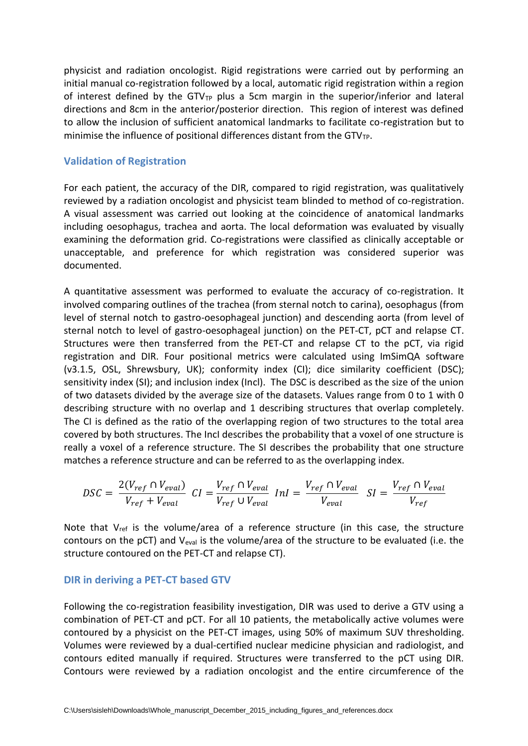physicist and radiation oncologist. Rigid registrations were carried out by performing an initial manual co-registration followed by a local, automatic rigid registration within a region of interest defined by the GTV $_{\text{TP}}$  plus a 5cm margin in the superior/inferior and lateral directions and 8cm in the anterior/posterior direction. This region of interest was defined to allow the inclusion of sufficient anatomical landmarks to facilitate co-registration but to minimise the influence of positional differences distant from the  $GTV_{TP}$ .

#### **Validation of Registration**

For each patient, the accuracy of the DIR, compared to rigid registration, was qualitatively reviewed by a radiation oncologist and physicist team blinded to method of co-registration. A visual assessment was carried out looking at the coincidence of anatomical landmarks including oesophagus, trachea and aorta. The local deformation was evaluated by visually examining the deformation grid. Co-registrations were classified as clinically acceptable or unacceptable, and preference for which registration was considered superior was documented.

A quantitative assessment was performed to evaluate the accuracy of co-registration. It involved comparing outlines of the trachea (from sternal notch to carina), oesophagus (from level of sternal notch to gastro-oesophageal junction) and descending aorta (from level of sternal notch to level of gastro-oesophageal junction) on the PET-CT, pCT and relapse CT. Structures were then transferred from the PET-CT and relapse CT to the pCT, via rigid registration and DIR. Four positional metrics were calculated using ImSimQA software (v3.1.5, OSL, Shrewsbury, UK); conformity index (CI); dice similarity coefficient (DSC); sensitivity index (SI); and inclusion index (Incl). The DSC is described as the size of the union of two datasets divided by the average size of the datasets. Values range from 0 to 1 with 0 describing structure with no overlap and 1 describing structures that overlap completely. The CI is defined as the ratio of the overlapping region of two structures to the total area covered by both structures. The IncI describes the probability that a voxel of one structure is really a voxel of a reference structure. The SI describes the probability that one structure matches a reference structure and can be referred to as the overlapping index.

$$
DSC = \frac{2(V_{ref} \cap V_{eval})}{V_{ref} + V_{eval}} \ CI = \frac{V_{ref} \cap V_{eval}}{V_{ref} \cup V_{eval}} \ InI = \frac{V_{ref} \cap V_{eval}}{V_{eval}} \ SI = \frac{V_{ref} \cap V_{eval}}{V_{ref}}
$$

Note that  $V_{ref}$  is the volume/area of a reference structure (in this case, the structure contours on the pCT) and  $V_{eval}$  is the volume/area of the structure to be evaluated (i.e. the structure contoured on the PET-CT and relapse CT).

#### **DIR in deriving a PET-CT based GTV**

Following the co-registration feasibility investigation, DIR was used to derive a GTV using a combination of PET-CT and pCT. For all 10 patients, the metabolically active volumes were contoured by a physicist on the PET-CT images, using 50% of maximum SUV thresholding. Volumes were reviewed by a dual-certified nuclear medicine physician and radiologist, and contours edited manually if required. Structures were transferred to the pCT using DIR. Contours were reviewed by a radiation oncologist and the entire circumference of the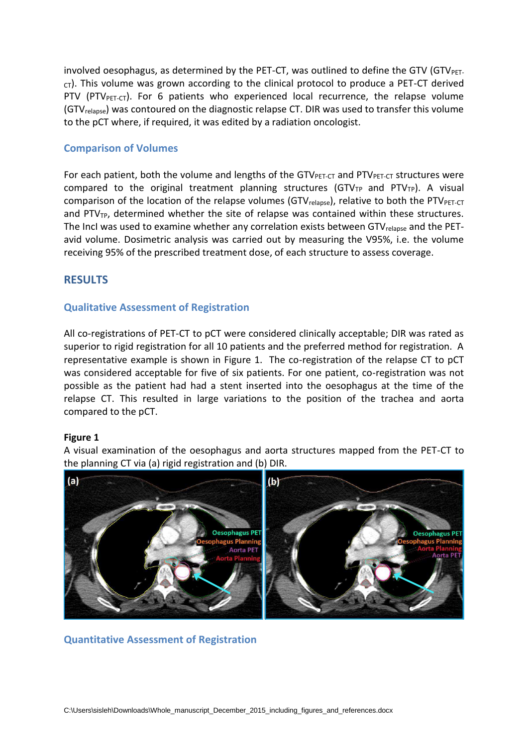involved oesophagus, as determined by the PET-CT, was outlined to define the GTV (GTV $_{\text{PET-}}$  $cr$ ). This volume was grown according to the clinical protocol to produce a PET-CT derived PTV (PTV<sub>PET-CT</sub>). For 6 patients who experienced local recurrence, the relapse volume (GTVrelapse) was contoured on the diagnostic relapse CT. DIR was used to transfer this volume to the pCT where, if required, it was edited by a radiation oncologist.

## **Comparison of Volumes**

For each patient, both the volume and lengths of the GTV $_{\text{PET-CT}}$  and PTV $_{\text{PET-CT}}$  structures were compared to the original treatment planning structures (GTV<sub>TP</sub> and PTV<sub>TP</sub>). A visual comparison of the location of the relapse volumes (GTV $_{\text{relapse}}$ ), relative to both the PTV $_{\text{PET-CT}}$ and PTV<sub>TP</sub>, determined whether the site of relapse was contained within these structures. The IncI was used to examine whether any correlation exists between GTV<sub>relapse</sub> and the PETavid volume. Dosimetric analysis was carried out by measuring the V95%, i.e. the volume receiving 95% of the prescribed treatment dose, of each structure to assess coverage.

# **RESULTS**

## **Qualitative Assessment of Registration**

All co-registrations of PET-CT to pCT were considered clinically acceptable; DIR was rated as superior to rigid registration for all 10 patients and the preferred method for registration. A representative example is shown in Figure 1. The co-registration of the relapse CT to pCT was considered acceptable for five of six patients. For one patient, co-registration was not possible as the patient had had a stent inserted into the oesophagus at the time of the relapse CT. This resulted in large variations to the position of the trachea and aorta compared to the pCT.

#### **Figure 1**

A visual examination of the oesophagus and aorta structures mapped from the PET-CT to the planning CT via (a) rigid registration and (b) DIR.



**Quantitative Assessment of Registration**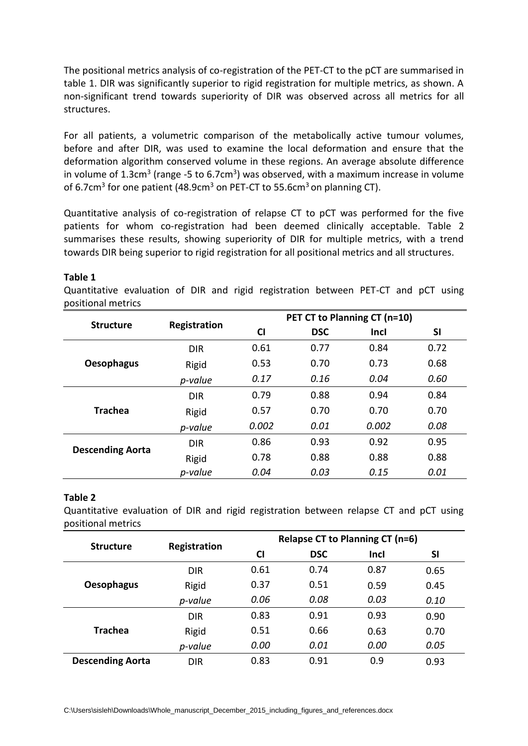The positional metrics analysis of co-registration of the PET-CT to the pCT are summarised in table 1. DIR was significantly superior to rigid registration for multiple metrics, as shown. A non-significant trend towards superiority of DIR was observed across all metrics for all structures.

For all patients, a volumetric comparison of the metabolically active tumour volumes, before and after DIR, was used to examine the local deformation and ensure that the deformation algorithm conserved volume in these regions. An average absolute difference in volume of  $1.3 \text{cm}^3$  (range -5 to 6.7 $\text{cm}^3$ ) was observed, with a maximum increase in volume of 6.7cm<sup>3</sup> for one patient (48.9cm<sup>3</sup> on PET-CT to 55.6cm<sup>3</sup> on planning CT).

Quantitative analysis of co-registration of relapse CT to pCT was performed for the five patients for whom co-registration had been deemed clinically acceptable. Table 2 summarises these results, showing superiority of DIR for multiple metrics, with a trend towards DIR being superior to rigid registration for all positional metrics and all structures.

#### **Table 1**

Quantitative evaluation of DIR and rigid registration between PET-CT and pCT using positional metrics

|                         |              | PET CT to Planning CT (n=10) |            |             |      |
|-------------------------|--------------|------------------------------|------------|-------------|------|
| <b>Structure</b>        | Registration | $\overline{c}$               | <b>DSC</b> | <b>Incl</b> | SI   |
|                         | <b>DIR</b>   | 0.61                         | 0.77       | 0.84        | 0.72 |
| <b>Oesophagus</b>       | Rigid        | 0.53                         | 0.70       | 0.73        | 0.68 |
|                         | p-value      | 0.17                         | 0.16       | 0.04        | 0.60 |
| <b>Trachea</b>          | <b>DIR</b>   | 0.79                         | 0.88       | 0.94        | 0.84 |
|                         | Rigid        | 0.57                         | 0.70       | 0.70        | 0.70 |
|                         | p-value      | 0.002                        | 0.01       | 0.002       | 0.08 |
| <b>Descending Aorta</b> | <b>DIR</b>   | 0.86                         | 0.93       | 0.92        | 0.95 |
|                         | Rigid        | 0.78                         | 0.88       | 0.88        | 0.88 |
|                         | p-value      | 0.04                         | 0.03       | 0.15        | 0.01 |

#### **Table 2**

Quantitative evaluation of DIR and rigid registration between relapse CT and pCT using positional metrics

| <b>Structure</b>        |              | <b>Relapse CT to Planning CT (n=6)</b> |            |             |      |  |
|-------------------------|--------------|----------------------------------------|------------|-------------|------|--|
|                         | Registration | <b>CI</b>                              | <b>DSC</b> | <b>Incl</b> | SI   |  |
|                         | <b>DIR</b>   | 0.61                                   | 0.74       | 0.87        | 0.65 |  |
| <b>Oesophagus</b>       | Rigid        | 0.37                                   | 0.51       | 0.59        | 0.45 |  |
|                         | p-value      | 0.06                                   | 0.08       | 0.03        | 0.10 |  |
| <b>Trachea</b>          | <b>DIR</b>   | 0.83                                   | 0.91       | 0.93        | 0.90 |  |
|                         | Rigid        | 0.51                                   | 0.66       | 0.63        | 0.70 |  |
|                         | p-value      | 0.00                                   | 0.01       | 0.00        | 0.05 |  |
| <b>Descending Aorta</b> | <b>DIR</b>   | 0.83                                   | 0.91       | 0.9         | 0.93 |  |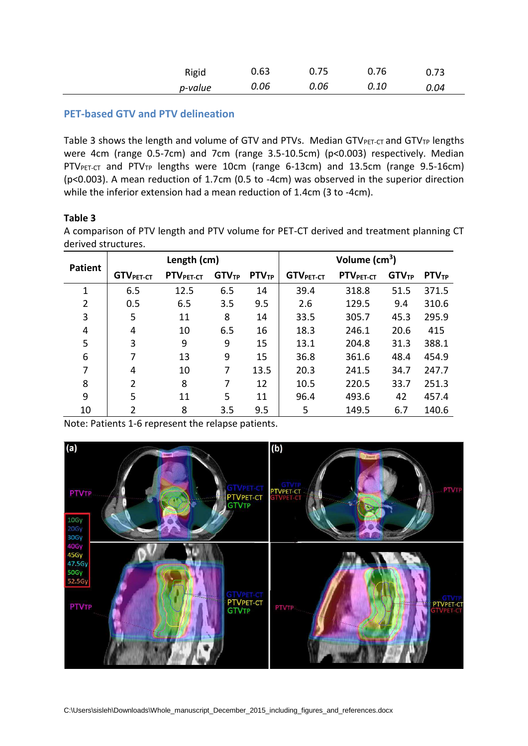| Rigid   | 0.63 | 0.75 | 0.76 | 0.73 |
|---------|------|------|------|------|
| p-value | 0.06 | 0.06 | 0.10 | 0.04 |

## **PET-based GTV and PTV delineation**

Table 3 shows the length and volume of GTV and PTVs. Median GTV $_{\text{PET-CT}}$  and GTV<sub>TP</sub> lengths were 4cm (range 0.5-7cm) and 7cm (range 3.5-10.5cm) (p<0.003) respectively. Median PTV<sub>PET-CT</sub> and PTV<sub>TP</sub> lengths were 10cm (range 6-13cm) and 13.5cm (range 9.5-16cm) (p<0.003). A mean reduction of 1.7cm (0.5 to -4cm) was observed in the superior direction while the inferior extension had a mean reduction of 1.4cm (3 to -4cm).

## **Table 3**

A comparison of PTV length and PTV volume for PET-CT derived and treatment planning CT derived structures.

|                | Length (cm)                  |                       |                   | Volume $(cm3)$    |                  |                       |                   |                   |
|----------------|------------------------------|-----------------------|-------------------|-------------------|------------------|-----------------------|-------------------|-------------------|
| <b>Patient</b> | <b>GTV</b> <sub>PET-CT</sub> | PTV <sub>PET-CT</sub> | GTV <sub>TP</sub> | PTV <sub>TP</sub> | <b>GTVPET-CT</b> | PTV <sub>PET-CT</sub> | GTV <sub>TP</sub> | PTV <sub>TP</sub> |
| 1              | 6.5                          | 12.5                  | 6.5               | 14                | 39.4             | 318.8                 | 51.5              | 371.5             |
| 2              | 0.5                          | 6.5                   | 3.5               | 9.5               | 2.6              | 129.5                 | 9.4               | 310.6             |
| 3              | 5                            | 11                    | 8                 | 14                | 33.5             | 305.7                 | 45.3              | 295.9             |
| 4              | 4                            | 10                    | 6.5               | 16                | 18.3             | 246.1                 | 20.6              | 415               |
| 5              | 3                            | 9                     | 9                 | 15                | 13.1             | 204.8                 | 31.3              | 388.1             |
| 6              |                              | 13                    | 9                 | 15                | 36.8             | 361.6                 | 48.4              | 454.9             |
| 7              | 4                            | 10                    | 7                 | 13.5              | 20.3             | 241.5                 | 34.7              | 247.7             |
| 8              | $\mathcal{P}$                | 8                     | 7                 | 12                | 10.5             | 220.5                 | 33.7              | 251.3             |
| 9              | 5                            | 11                    | 5                 | 11                | 96.4             | 493.6                 | 42                | 457.4             |
| 10             | 2                            | 8                     | 3.5               | 9.5               | 5                | 149.5                 | 6.7               | 140.6             |

Note: Patients 1-6 represent the relapse patients.

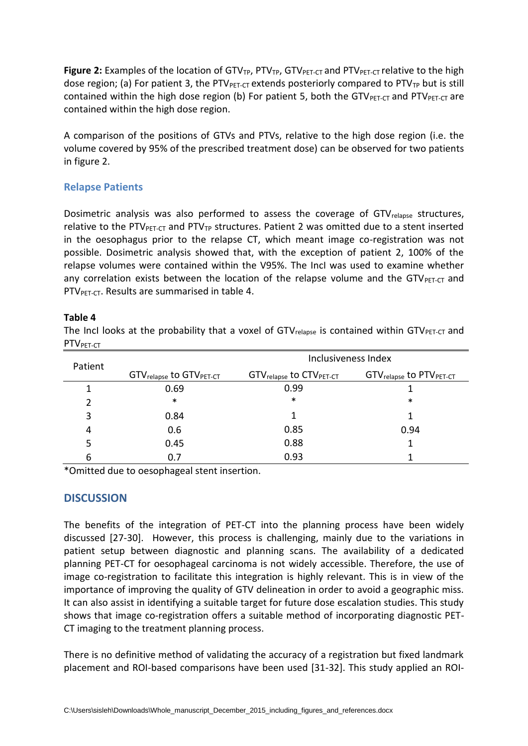Figure 2: Examples of the location of GTV<sub>TP</sub>, PTV<sub>TP</sub>, GTV<sub>PET-CT</sub> and PTV<sub>PET-CT</sub> relative to the high dose region; (a) For patient 3, the PTV $_{\text{PET-CT}}$  extends posteriorly compared to PTV<sub>TP</sub> but is still contained within the high dose region (b) For patient 5, both the GTV<sub>PET-CT</sub> and PTV<sub>PET-CT</sub> are contained within the high dose region.

A comparison of the positions of GTVs and PTVs, relative to the high dose region (i.e. the volume covered by 95% of the prescribed treatment dose) can be observed for two patients in figure 2.

## **Relapse Patients**

Dosimetric analysis was also performed to assess the coverage of GTV<sub>relapse</sub> structures, relative to the PTVPET-CT and PTV<sub>TP</sub> structures. Patient 2 was omitted due to a stent inserted in the oesophagus prior to the relapse CT, which meant image co-registration was not possible. Dosimetric analysis showed that, with the exception of patient 2, 100% of the relapse volumes were contained within the V95%. The IncI was used to examine whether any correlation exists between the location of the relapse volume and the GTV $_{\text{PET-cT}}$  and PTV<sub>PET-CT</sub>. Results are summarised in table 4.

## **Table 4**

The Incl looks at the probability that a voxel of  $GTV_{\text{relapse}}$  is contained within  $GTV_{\text{PT-CT}}$  and PTV<sub>PET-CT</sub>

| Patient | Inclusiveness Index             |                                 |                                 |  |  |  |
|---------|---------------------------------|---------------------------------|---------------------------------|--|--|--|
|         | <b>GTV</b> relapse to GTVPET-CT | <b>GTV</b> relapse to CTVPET-CT | <b>GTV</b> relapse to PTVPET-CT |  |  |  |
| 1       | 0.69                            | 0.99                            |                                 |  |  |  |
| 2       | $\ast$                          | $\ast$                          | $\ast$                          |  |  |  |
| 3       | 0.84                            | 1                               | 1                               |  |  |  |
| 4       | 0.6                             | 0.85                            | 0.94                            |  |  |  |
| 5       | 0.45                            | 0.88                            | 1                               |  |  |  |
| 6       | 0.7                             | 0.93                            |                                 |  |  |  |

\*Omitted due to oesophageal stent insertion.

# **DISCUSSION**

The benefits of the integration of PET-CT into the planning process have been widely discussed [27-30]. However, this process is challenging, mainly due to the variations in patient setup between diagnostic and planning scans. The availability of a dedicated planning PET-CT for oesophageal carcinoma is not widely accessible. Therefore, the use of image co-registration to facilitate this integration is highly relevant. This is in view of the importance of improving the quality of GTV delineation in order to avoid a geographic miss. It can also assist in identifying a suitable target for future dose escalation studies. This study shows that image co-registration offers a suitable method of incorporating diagnostic PET-CT imaging to the treatment planning process.

There is no definitive method of validating the accuracy of a registration but fixed landmark placement and ROI-based comparisons have been used [31-32]. This study applied an ROI-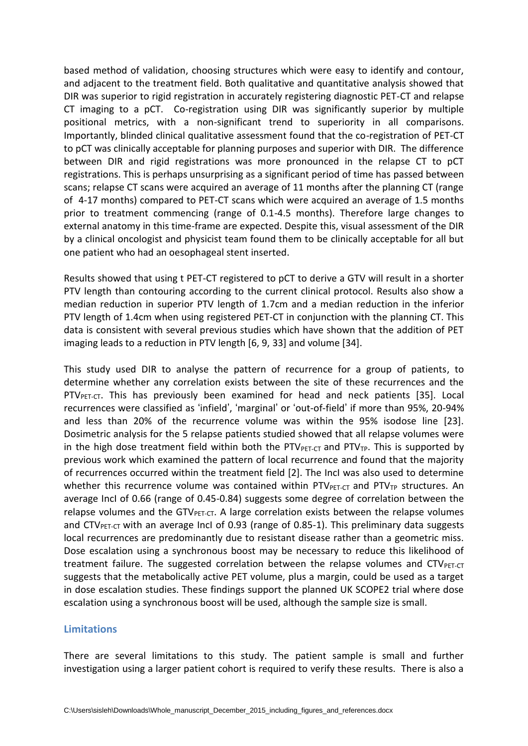based method of validation, choosing structures which were easy to identify and contour, and adjacent to the treatment field. Both qualitative and quantitative analysis showed that DIR was superior to rigid registration in accurately registering diagnostic PET-CT and relapse CT imaging to a pCT. Co-registration using DIR was significantly superior by multiple positional metrics, with a non-significant trend to superiority in all comparisons. Importantly, blinded clinical qualitative assessment found that the co-registration of PET-CT to pCT was clinically acceptable for planning purposes and superior with DIR. The difference between DIR and rigid registrations was more pronounced in the relapse CT to pCT registrations. This is perhaps unsurprising as a significant period of time has passed between scans; relapse CT scans were acquired an average of 11 months after the planning CT (range of 4-17 months) compared to PET-CT scans which were acquired an average of 1.5 months prior to treatment commencing (range of 0.1-4.5 months). Therefore large changes to external anatomy in this time-frame are expected. Despite this, visual assessment of the DIR by a clinical oncologist and physicist team found them to be clinically acceptable for all but one patient who had an oesophageal stent inserted.

Results showed that using t PET-CT registered to pCT to derive a GTV will result in a shorter PTV length than contouring according to the current clinical protocol. Results also show a median reduction in superior PTV length of 1.7cm and a median reduction in the inferior PTV length of 1.4cm when using registered PET-CT in conjunction with the planning CT. This data is consistent with several previous studies which have shown that the addition of PET imaging leads to a reduction in PTV length [6, 9, 33] and volume [34].

This study used DIR to analyse the pattern of recurrence for a group of patients, to determine whether any correlation exists between the site of these recurrences and the PTV<sub>PET-CT</sub>. This has previously been examined for head and neck patients [35]. Local recurrences were classified as 'infield', 'marginal' or 'out-of-field' if more than 95%, 20-94% and less than 20% of the recurrence volume was within the 95% isodose line [23]. Dosimetric analysis for the 5 relapse patients studied showed that all relapse volumes were in the high dose treatment field within both the  $PTV_{PET-CT}$  and  $PTV_{TP}$ . This is supported by previous work which examined the pattern of local recurrence and found that the majority of recurrences occurred within the treatment field [2]. The IncI was also used to determine whether this recurrence volume was contained within  $PTV_{PET-CT}$  and  $PTV_{TP}$  structures. An average IncI of 0.66 (range of 0.45-0.84) suggests some degree of correlation between the relapse volumes and the GTV $_{\text{PET-CT}}$ . A large correlation exists between the relapse volumes and CTV $_{PET-CT}$  with an average IncI of 0.93 (range of 0.85-1). This preliminary data suggests local recurrences are predominantly due to resistant disease rather than a geometric miss. Dose escalation using a synchronous boost may be necessary to reduce this likelihood of treatment failure. The suggested correlation between the relapse volumes and  $CTV_{PET-CT}$ suggests that the metabolically active PET volume, plus a margin, could be used as a target in dose escalation studies. These findings support the planned UK SCOPE2 trial where dose escalation using a synchronous boost will be used, although the sample size is small.

## **Limitations**

There are several limitations to this study. The patient sample is small and further investigation using a larger patient cohort is required to verify these results. There is also a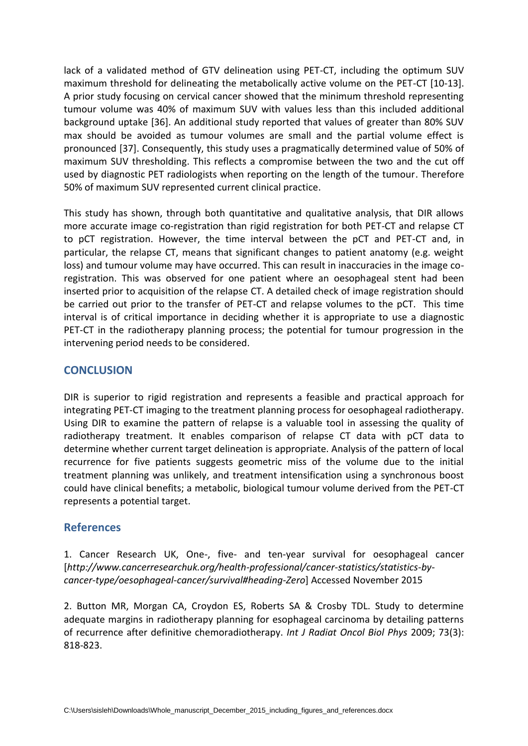lack of a validated method of GTV delineation using PET-CT, including the optimum SUV maximum threshold for delineating the metabolically active volume on the PET-CT [10-13]. A prior study focusing on cervical cancer showed that the minimum threshold representing tumour volume was 40% of maximum SUV with values less than this included additional background uptake [36]. An additional study reported that values of greater than 80% SUV max should be avoided as tumour volumes are small and the partial volume effect is pronounced [37]. Consequently, this study uses a pragmatically determined value of 50% of maximum SUV thresholding. This reflects a compromise between the two and the cut off used by diagnostic PET radiologists when reporting on the length of the tumour. Therefore 50% of maximum SUV represented current clinical practice.

This study has shown, through both quantitative and qualitative analysis, that DIR allows more accurate image co-registration than rigid registration for both PET-CT and relapse CT to pCT registration. However, the time interval between the pCT and PET-CT and, in particular, the relapse CT, means that significant changes to patient anatomy (e.g. weight loss) and tumour volume may have occurred. This can result in inaccuracies in the image coregistration. This was observed for one patient where an oesophageal stent had been inserted prior to acquisition of the relapse CT. A detailed check of image registration should be carried out prior to the transfer of PET-CT and relapse volumes to the pCT. This time interval is of critical importance in deciding whether it is appropriate to use a diagnostic PET-CT in the radiotherapy planning process; the potential for tumour progression in the intervening period needs to be considered.

# **CONCLUSION**

DIR is superior to rigid registration and represents a feasible and practical approach for integrating PET-CT imaging to the treatment planning process for oesophageal radiotherapy. Using DIR to examine the pattern of relapse is a valuable tool in assessing the quality of radiotherapy treatment. It enables comparison of relapse CT data with pCT data to determine whether current target delineation is appropriate. Analysis of the pattern of local recurrence for five patients suggests geometric miss of the volume due to the initial treatment planning was unlikely, and treatment intensification using a synchronous boost could have clinical benefits; a metabolic, biological tumour volume derived from the PET-CT represents a potential target.

# **References**

1. Cancer Research UK, One-, five- and ten-year survival for oesophageal cancer [*http://www.cancerresearchuk.org/health-professional/cancer-statistics/statistics-bycancer-type/oesophageal-cancer/survival#heading-Zero*] Accessed November 2015

2. Button MR, Morgan CA, Croydon ES, Roberts SA & Crosby TDL. Study to determine adequate margins in radiotherapy planning for esophageal carcinoma by detailing patterns of recurrence after definitive chemoradiotherapy. *Int J Radiat Oncol Biol Phys* 2009; 73(3): 818-823.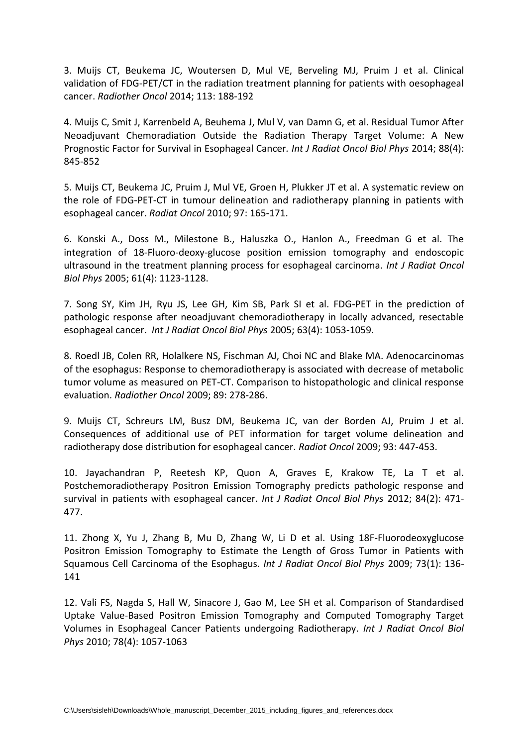3. Muijs CT, Beukema JC, Woutersen D, Mul VE, Berveling MJ, Pruim J et al. Clinical validation of FDG-PET/CT in the radiation treatment planning for patients with oesophageal cancer. *Radiother Oncol* 2014; 113: 188-192

4. Muijs C, Smit J, Karrenbeld A, Beuhema J, Mul V, van Damn G, et al. Residual Tumor After Neoadjuvant Chemoradiation Outside the Radiation Therapy Target Volume: A New Prognostic Factor for Survival in Esophageal Cancer*. Int J Radiat Oncol Biol Phys* 2014; 88(4): 845-852

5. Muijs CT, Beukema JC, Pruim J, Mul VE, Groen H, Plukker JT et al. A systematic review on the role of FDG-PET-CT in tumour delineation and radiotherapy planning in patients with esophageal cancer. *Radiat Oncol* 2010; 97: 165-171.

6. Konski A., Doss M., Milestone B., Haluszka O., Hanlon A., Freedman G et al. The integration of 18-Fluoro-deoxy-glucose position emission tomography and endoscopic ultrasound in the treatment planning process for esophageal carcinoma. *Int J Radiat Oncol Biol Phys* 2005; 61(4): 1123-1128.

7. Song SY, Kim JH, Ryu JS, Lee GH, Kim SB, Park SI et al. FDG-PET in the prediction of pathologic response after neoadjuvant chemoradiotherapy in locally advanced, resectable esophageal cancer. *Int J Radiat Oncol Biol Phys* 2005; 63(4): 1053-1059.

8. Roedl JB, Colen RR, Holalkere NS, Fischman AJ, Choi NC and Blake MA. Adenocarcinomas of the esophagus: Response to chemoradiotherapy is associated with decrease of metabolic tumor volume as measured on PET-CT. Comparison to histopathologic and clinical response evaluation. *Radiother Oncol* 2009; 89: 278-286.

9. Muijs CT, Schreurs LM, Busz DM, Beukema JC, van der Borden AJ, Pruim J et al. Consequences of additional use of PET information for target volume delineation and radiotherapy dose distribution for esophageal cancer. *Radiot Oncol* 2009; 93: 447-453.

10. Jayachandran P, Reetesh KP, Quon A, Graves E, Krakow TE, La T et al. Postchemoradiotherapy Positron Emission Tomography predicts pathologic response and survival in patients with esophageal cancer. *Int J Radiat Oncol Biol Phys* 2012; 84(2): 471- 477.

11. Zhong X, Yu J, Zhang B, Mu D, Zhang W, Li D et al. Using 18F-Fluorodeoxyglucose Positron Emission Tomography to Estimate the Length of Gross Tumor in Patients with Squamous Cell Carcinoma of the Esophagus. *Int J Radiat Oncol Biol Phys* 2009; 73(1): 136- 141

12. Vali FS, Nagda S, Hall W, Sinacore J, Gao M, Lee SH et al. Comparison of Standardised Uptake Value-Based Positron Emission Tomography and Computed Tomography Target Volumes in Esophageal Cancer Patients undergoing Radiotherapy. *Int J Radiat Oncol Biol Phys* 2010; 78(4): 1057-1063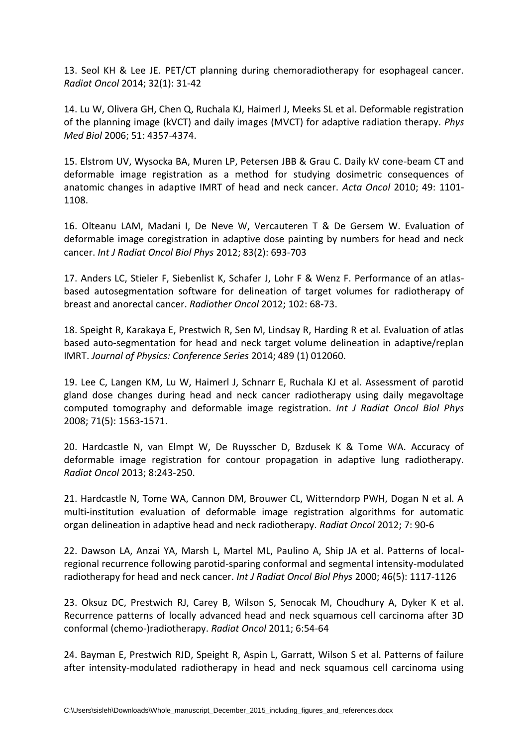13. Seol KH & Lee JE. PET/CT planning during chemoradiotherapy for esophageal cancer. *Radiat Oncol* 2014; 32(1): 31-42

14. Lu W, Olivera GH, Chen Q, Ruchala KJ, Haimerl J, Meeks SL et al. Deformable registration of the planning image (kVCT) and daily images (MVCT) for adaptive radiation therapy. *Phys Med Biol* 2006; 51: 4357-4374.

15. Elstrom UV, Wysocka BA, Muren LP, Petersen JBB & Grau C. Daily kV cone-beam CT and deformable image registration as a method for studying dosimetric consequences of anatomic changes in adaptive IMRT of head and neck cancer. *Acta Oncol* 2010; 49: 1101- 1108.

16. Olteanu LAM, Madani I, De Neve W, Vercauteren T & De Gersem W. Evaluation of deformable image coregistration in adaptive dose painting by numbers for head and neck cancer. *Int J Radiat Oncol Biol Phys* 2012; 83(2): 693-703

17. Anders LC, Stieler F, Siebenlist K, Schafer J, Lohr F & Wenz F. Performance of an atlasbased autosegmentation software for delineation of target volumes for radiotherapy of breast and anorectal cancer. *Radiother Oncol* 2012; 102: 68-73.

18. Speight R, Karakaya E, Prestwich R, Sen M, Lindsay R, Harding R et al. Evaluation of atlas based auto-segmentation for head and neck target volume delineation in adaptive/replan IMRT. *Journal of Physics: Conference Series* 2014; 489 (1) 012060.

19. Lee C, Langen KM, Lu W, Haimerl J, Schnarr E, Ruchala KJ et al. Assessment of parotid gland dose changes during head and neck cancer radiotherapy using daily megavoltage computed tomography and deformable image registration. *Int J Radiat Oncol Biol Phys* 2008; 71(5): 1563-1571.

20. Hardcastle N, van Elmpt W, De Ruysscher D, Bzdusek K & Tome WA. Accuracy of deformable image registration for contour propagation in adaptive lung radiotherapy. *Radiat Oncol* 2013; 8:243-250.

21. Hardcastle N, Tome WA, Cannon DM, Brouwer CL, Witterndorp PWH, Dogan N et al. A multi-institution evaluation of deformable image registration algorithms for automatic organ delineation in adaptive head and neck radiotherapy. *Radiat Oncol* 2012; 7: 90-6

22. Dawson LA, Anzai YA, Marsh L, Martel ML, Paulino A, Ship JA et al. Patterns of localregional recurrence following parotid-sparing conformal and segmental intensity-modulated radiotherapy for head and neck cancer. *Int J Radiat Oncol Biol Phys* 2000; 46(5): 1117-1126

23. Oksuz DC, Prestwich RJ, Carey B, Wilson S, Senocak M, Choudhury A, Dyker K et al. Recurrence patterns of locally advanced head and neck squamous cell carcinoma after 3D conformal (chemo-)radiotherapy. *Radiat Oncol* 2011; 6:54-64

24. Bayman E, Prestwich RJD, Speight R, Aspin L, Garratt, Wilson S et al. Patterns of failure after intensity-modulated radiotherapy in head and neck squamous cell carcinoma using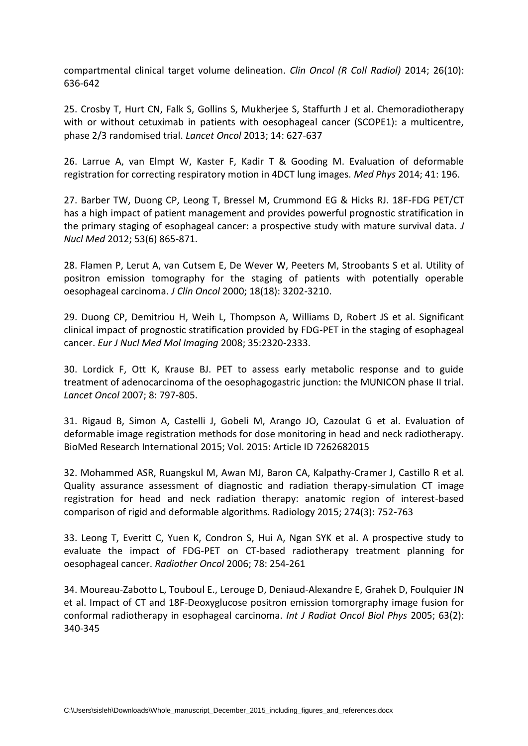compartmental clinical target volume delineation. *Clin Oncol (R Coll Radiol)* 2014; 26(10): 636-642

25. Crosby T, Hurt CN, Falk S, Gollins S, Mukherjee S, Staffurth J et al. Chemoradiotherapy with or without cetuximab in patients with oesophageal cancer (SCOPE1): a multicentre, phase 2/3 randomised trial. *Lancet Oncol* 2013; 14: 627-637

26. Larrue A, van Elmpt W, Kaster F, Kadir T & Gooding M. Evaluation of deformable registration for correcting respiratory motion in 4DCT lung images. *Med Phys* 2014; 41: 196.

27. Barber TW, Duong CP, Leong T, Bressel M, Crummond EG & Hicks RJ. 18F-FDG PET/CT has a high impact of patient management and provides powerful prognostic stratification in the primary staging of esophageal cancer: a prospective study with mature survival data. *J Nucl Med* 2012; 53(6) 865-871.

28. Flamen P, Lerut A, van Cutsem E, De Wever W, Peeters M, Stroobants S et al. Utility of positron emission tomography for the staging of patients with potentially operable oesophageal carcinoma. *J Clin Oncol* 2000; 18(18): 3202-3210.

29. Duong CP, Demitriou H, Weih L, Thompson A, Williams D, Robert JS et al. Significant clinical impact of prognostic stratification provided by FDG-PET in the staging of esophageal cancer. *Eur J Nucl Med Mol Imaging* 2008; 35:2320-2333.

30. Lordick F, Ott K, Krause BJ. PET to assess early metabolic response and to guide treatment of adenocarcinoma of the oesophagogastric junction: the MUNICON phase II trial. *Lancet Oncol* 2007; 8: 797-805.

31. Rigaud B, Simon A, Castelli J, Gobeli M, Arango JO, Cazoulat G et al. Evaluation of deformable image registration methods for dose monitoring in head and neck radiotherapy. BioMed Research International 2015; Vol. 2015: Article ID 7262682015

32. Mohammed ASR, Ruangskul M, Awan MJ, Baron CA, Kalpathy-Cramer J, Castillo R et al. Quality assurance assessment of diagnostic and radiation therapy-simulation CT image registration for head and neck radiation therapy: anatomic region of interest-based comparison of rigid and deformable algorithms. Radiology 2015; 274(3): 752-763

33. Leong T, Everitt C, Yuen K, Condron S, Hui A, Ngan SYK et al. A prospective study to evaluate the impact of FDG-PET on CT-based radiotherapy treatment planning for oesophageal cancer. *Radiother Oncol* 2006; 78: 254-261

34. Moureau-Zabotto L, Touboul E., Lerouge D, Deniaud-Alexandre E, Grahek D, Foulquier JN et al. Impact of CT and 18F-Deoxyglucose positron emission tomorgraphy image fusion for conformal radiotherapy in esophageal carcinoma. *Int J Radiat Oncol Biol Phys* 2005; 63(2): 340-345